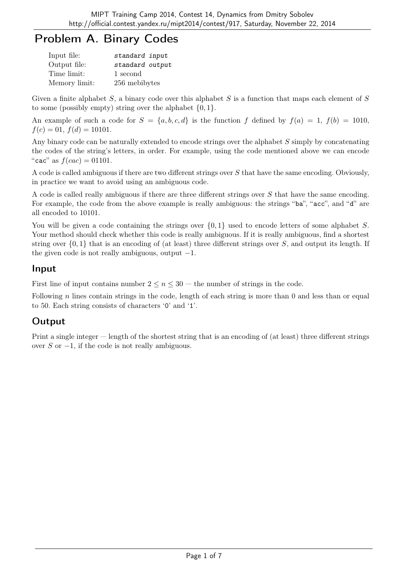# Problem A. Binary Codes

| Input file:   | standard input  |
|---------------|-----------------|
| Output file:  | standard output |
| Time limit:   | 1 second        |
| Memory limit: | 256 mebibytes   |

Given a finite alphabet  $S$ , a binary code over this alphabet  $S$  is a function that maps each element of  $S$ to some (possibly empty) string over the alphabet  $\{0, 1\}.$ 

An example of such a code for  $S = \{a, b, c, d\}$  is the function f defined by  $f(a) = 1$ ,  $f(b) = 1010$ ,  $f(c) = 01, f(d) = 10101.$ 

Any binary code can be naturally extended to encode strings over the alphabet S simply by concatenating the codes of the string's letters, in order. For example, using the code mentioned above we can encode "cac" as  $f(cac) = 01101$ .

A code is called ambiguous if there are two different strings over S that have the same encoding. Obviously, in practice we want to avoid using an ambiguous code.

A code is called really ambiguous if there are three different strings over S that have the same encoding. For example, the code from the above example is really ambiguous: the strings "ba", "acc", and "d" are all encoded to 10101.

You will be given a code containing the strings over  $\{0,1\}$  used to encode letters of some alphabet S. Your method should check whether this code is really ambiguous. If it is really ambiguous, find a shortest string over  $\{0, 1\}$  that is an encoding of (at least) three different strings over S, and output its length. If the given code is not really ambiguous, output  $-1$ .

### Input

First line of input contains number  $2 \leq n \leq 30$  — the number of strings in the code.

Following n lines contain strings in the code, length of each string is more than  $\theta$  and less than or equal to 50. Each string consists of characters '0' and '1'.

## **Output**

Print a single integer — length of the shortest string that is an encoding of (at least) three different strings over S or  $-1$ , if the code is not really ambiguous.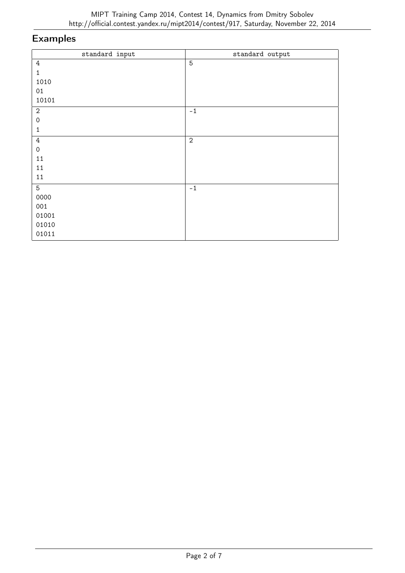| standard input      | standard output |
|---------------------|-----------------|
| $4\,$               | $\overline{5}$  |
| $\mathbf{1}$        |                 |
| 1010                |                 |
| $01\,$              |                 |
| 10101               |                 |
| $\sqrt{2}$          | $-1$            |
| $\mathsf{O}\xspace$ |                 |
| $\mathbf 1$         |                 |
| $\sqrt{4}$          | $\sqrt{2}$      |
| $\mathsf{O}\xspace$ |                 |
| $11\,$              |                 |
| 11                  |                 |
| 11                  |                 |
| $\overline{5}$      | $-1$            |
| 0000                |                 |
| 001                 |                 |
| 01001               |                 |
| 01010               |                 |
| 01011               |                 |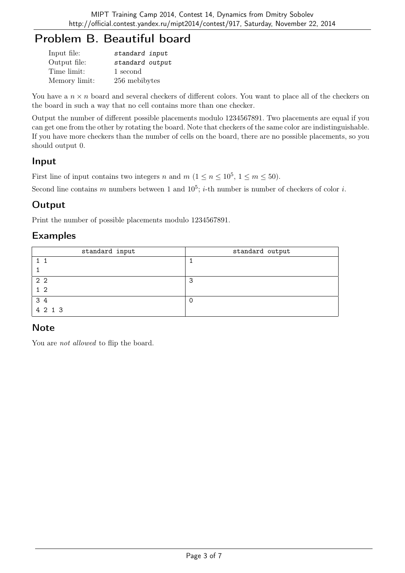# Problem B. Beautiful board

| Input file:   | standard input  |
|---------------|-----------------|
| Output file:  | standard output |
| Time limit:   | 1 second        |
| Memory limit: | 256 mebibytes   |

You have a  $n \times n$  board and several checkers of different colors. You want to place all of the checkers on the board in such a way that no cell contains more than one checker.

Output the number of different possible placements modulo 1234567891. Two placements are equal if you can get one from the other by rotating the board. Note that checkers of the same color are indistinguishable. If you have more checkers than the number of cells on the board, there are no possible placements, so you should output 0.

### Input

First line of input contains two integers n and  $m$   $(1 \le n \le 10^5, 1 \le m \le 50)$ .

Second line contains m numbers between 1 and  $10^5$ ; *i*-th number is number of checkers of color *i*.

## **Output**

Print the number of possible placements modulo 1234567891.

### Examples

| standard input | standard output |
|----------------|-----------------|
|                |                 |
|                |                 |
| 2 <sub>2</sub> | 3               |
| $1\,2$         |                 |
| 3 4            |                 |
| 4 2 1 3        |                 |

### **Note**

You are *not allowed* to flip the board.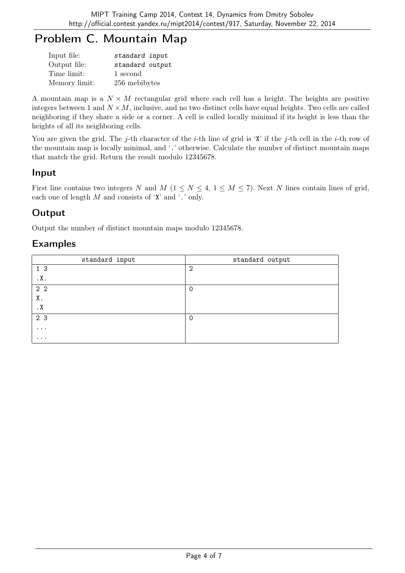# Problem C. Mountain Map

| Input file:   | standard input  |
|---------------|-----------------|
| Output file:  | standard output |
| Time limit:   | 1 second        |
| Memory limit: | 256 mebibytes   |

A mountain map is a  $N \times M$  rectangular grid where each cell has a height. The heights are positive integers between 1 and  $N \times M$ , inclusive, and no two distinct cells have equal heights. Two cells are called neighboring if they share a side or a corner. A cell is called locally minimal if its height is less than the heights of all its neighboring cells.

You are given the grid. The j-th character of the *i*-th line of grid is 'X' if the j-th cell in the *i*-th row of the mountain map is locally minimal, and '.' otherwise. Calculate the number of distinct mountain maps that match the grid. Return the result modulo 12345678.

### Input

First line contains two integers N and M ( $1 \le N \le 4$ ,  $1 \le M \le 7$ ). Next N lines contain lines of grid, each one of length  $M$  and consists of 'X' and '.' only.

## Output

Output the number of distinct mountain maps modulo 12345678.

| standard input | standard output |
|----------------|-----------------|
| 1 <sub>3</sub> | $\overline{2}$  |
| .X.            |                 |
| 2 <sub>2</sub> | $\mathbf 0$     |
| Χ.             |                 |
| . $\mathbf X$  |                 |
| 2 3            | $\Omega$        |
| $\cdots$       |                 |
| $\cdots$       |                 |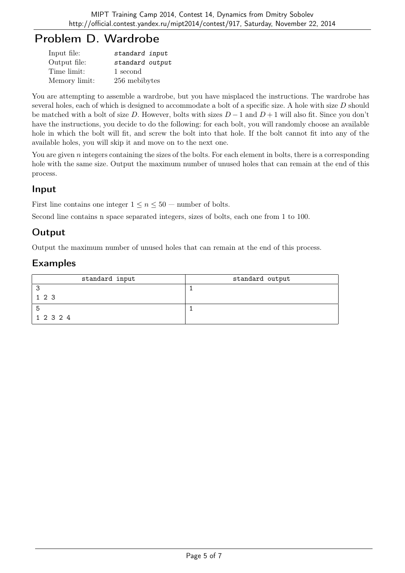## Problem D. Wardrobe

| Input file:   | standard input  |
|---------------|-----------------|
| Output file:  | standard output |
| Time limit:   | 1 second        |
| Memory limit: | 256 mebibytes   |

You are attempting to assemble a wardrobe, but you have misplaced the instructions. The wardrobe has several holes, each of which is designed to accommodate a bolt of a specific size. A hole with size D should be matched with a bolt of size D. However, bolts with sizes  $D-1$  and  $D+1$  will also fit. Since you don't have the instructions, you decide to do the following: for each bolt, you will randomly choose an available hole in which the bolt will fit, and screw the bolt into that hole. If the bolt cannot fit into any of the available holes, you will skip it and move on to the next one.

You are given  $n$  integers containing the sizes of the bolts. For each element in bolts, there is a corresponding hole with the same size. Output the maximum number of unused holes that can remain at the end of this process.

### Input

First line contains one integer  $1 \le n \le 50$  — number of bolts.

Second line contains n space separated integers, sizes of bolts, each one from 1 to 100.

## Output

Output the maximum number of unused holes that can remain at the end of this process.

| standard input | standard output |
|----------------|-----------------|
|                |                 |
| 1 2 3          |                 |
|                |                 |
| 1 2 3 2 4      |                 |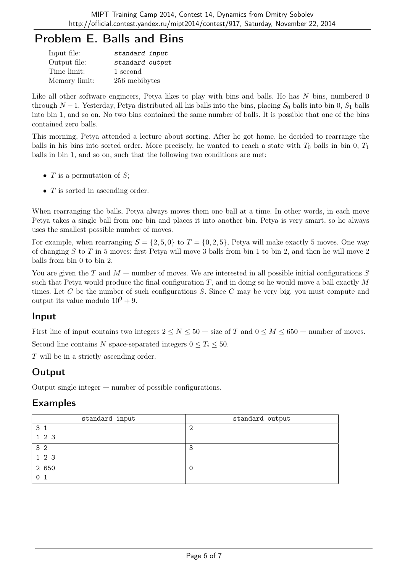# Problem E. Balls and Bins

| Input file:   | standard input  |
|---------------|-----------------|
| Output file:  | standard output |
| Time limit:   | 1 second        |
| Memory limit: | 256 mebibytes   |

Like all other software engineers, Petya likes to play with bins and balls. He has N bins, numbered 0 through N −1. Yesterday, Petya distributed all his balls into the bins, placing  $S_0$  balls into bin 0,  $S_1$  balls into bin 1, and so on. No two bins contained the same number of balls. It is possible that one of the bins contained zero balls.

This morning, Petya attended a lecture about sorting. After he got home, he decided to rearrange the balls in his bins into sorted order. More precisely, he wanted to reach a state with  $T_0$  balls in bin 0,  $T_1$ balls in bin 1, and so on, such that the following two conditions are met:

- $T$  is a permutation of  $S$ ;
- T is sorted in ascending order.

When rearranging the balls, Petya always moves them one ball at a time. In other words, in each move Petya takes a single ball from one bin and places it into another bin. Petya is very smart, so he always uses the smallest possible number of moves.

For example, when rearranging  $S = \{2, 5, 0\}$  to  $T = \{0, 2, 5\}$ , Petya will make exactly 5 moves. One way of changing  $S$  to  $T$  in 5 moves: first Petya will move 3 balls from bin 1 to bin 2, and then he will move 2 balls from bin 0 to bin 2.

You are given the T and  $M$  — number of moves. We are interested in all possible initial configurations S such that Petya would produce the final configuration T, and in doing so he would move a ball exactly  $M$ times. Let  $C$  be the number of such configurations  $S$ . Since  $C$  may be very big, you must compute and output its value modulo  $10^9 + 9$ .

### Input

First line of input contains two integers  $2 \le N \le 50$  — size of T and  $0 \le M \le 650$  — number of moves. Second line contains N space-separated integers  $0 \le T_i \le 50$ .

T will be in a strictly ascending order.

## Output

Output single integer — number of possible configurations.

| standard input | standard output |
|----------------|-----------------|
| 3 <sub>1</sub> | - 2             |
| 1 2 3          |                 |
| 3 <sub>2</sub> | 3               |
| 1 2 3          |                 |
| 2 650          |                 |
| 0 <sub>1</sub> |                 |